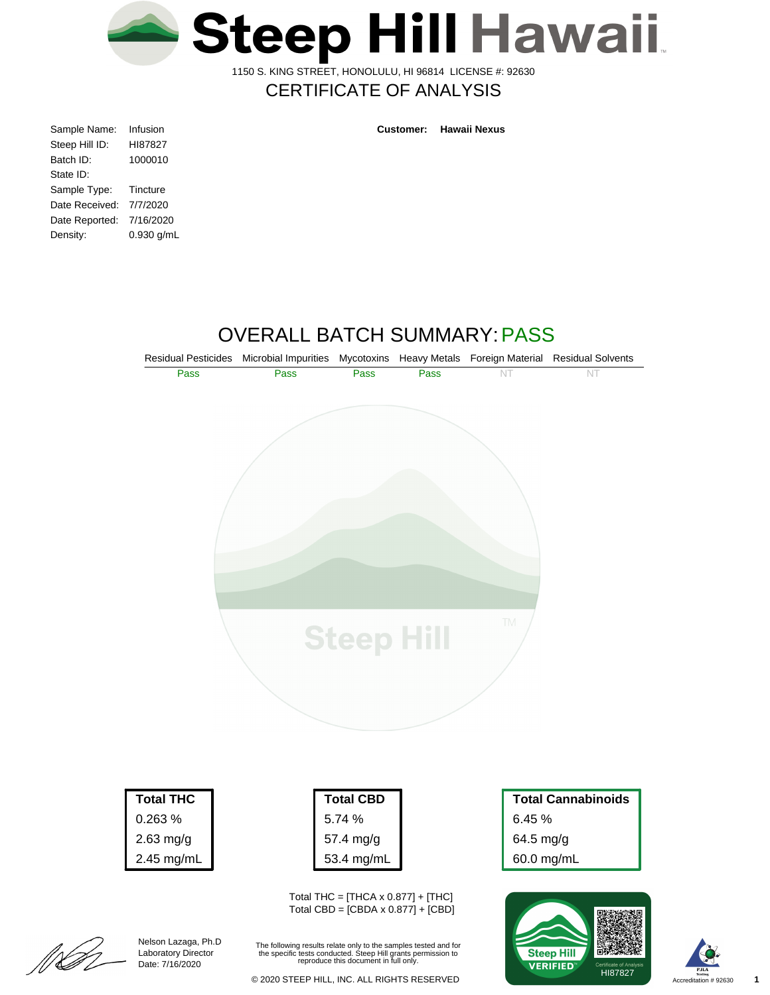

1150 S. KING STREET, HONOLULU, HI 96814 LICENSE #: 92630

## CERTIFICATE OF ANALYSIS

| Infusion   |
|------------|
| HI87827    |
| 1000010    |
|            |
| Tincture   |
| 7/7/2020   |
| 7/16/2020  |
| 0.930 g/mL |
|            |

**Customer: Hawaii Nexus**

# OVERALL BATCH SUMMARY:PASS



2.63 mg/g 2.45 mg/mL

> Nelson Lazaga, Ph.D Laboratory Director Date: 7/16/2020

[[[[<br>[[[

| Total CBD  |
|------------|
| 5.74%      |
| 57.4 mg/g  |
| 53.4 mg/mL |

Total THC =  $[THCA \times 0.877] + [THC]$ Total CBD = [CBDA x 0.877] + [CBD]

The following results relate only to the samples tested and for the specific tests conducted. Steep Hill grants permission to reproduce this document in full only.

64.5 mg/g 60.0 mg/mL



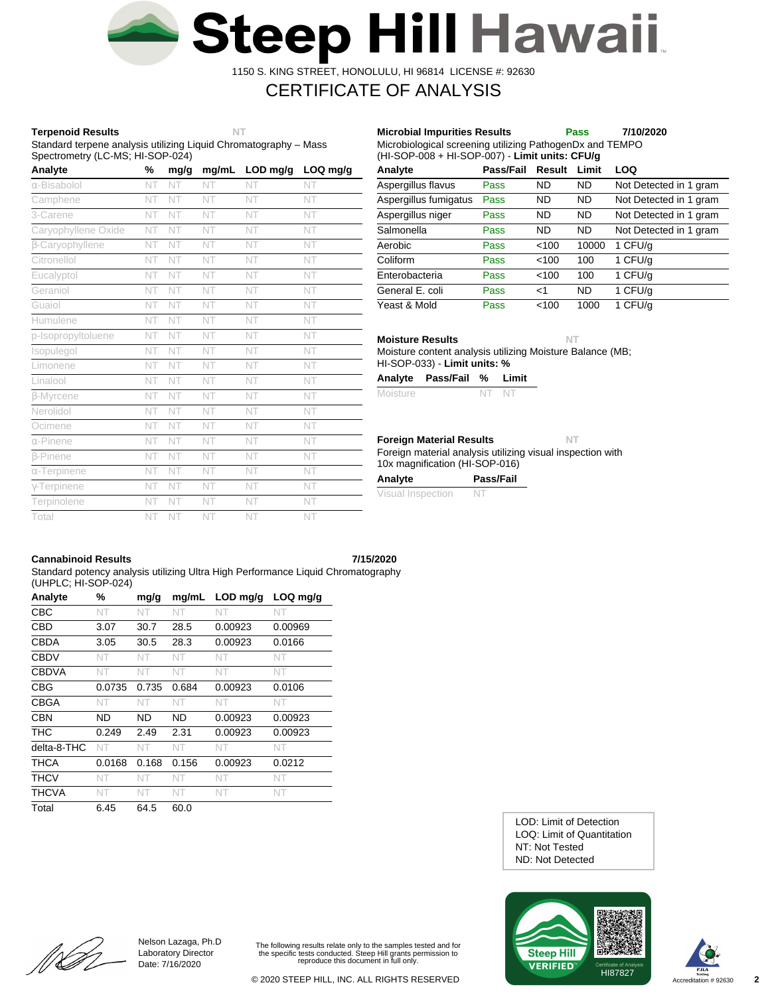

1150 S. KING STREET, HONOLULU, HI 96814 LICENSE #: 92630

# CERTIFICATE OF ANALYSIS

## **Terpenoid Results NT**

Standard terpene analysis utilizing Liquid Chromatography – Mass Spectrometry (LC-MS; HI-SOP-024)

| Analyte             | %  | mg/g | mg/mL | LOD mg/g | LOQ mg/g |
|---------------------|----|------|-------|----------|----------|
| α-Bisabolol         | NT | NT   | NT    | NT       | NT       |
| Camphene            | NT | NT   | NT    | NT       | NT       |
| 3-Carene            | NT | NT   | NT    | NT       | NT       |
| Caryophyllene Oxide | NT | NT   | NT    | NT       | NT       |
| β-Caryophyllene     | NT | NT   | NT    | NT       | NT       |
| Citronellol         | NT | NT   | NT    | NT       | NT       |
| Eucalyptol          | NT | NT   | NT    | NT       | NT       |
| Geraniol            | NT | NT   | NT    | NT       | NT       |
| Guaiol              | NT | NT   | NT    | NT       | NT       |
| Humulene            | NT | NT   | NT    | NT       | NT       |
| p-Isopropyltoluene  | NT | NT   | NT    | NT       | NT       |
| Isopulegol          | NT | NT   | NT    | NT       | NT       |
| Limonene            | NT | NT   | NT    | NT       | NT       |
| Linalool            | NT | NT   | NT    | NT       | NT       |
| <b>B-Myrcene</b>    | NT | NT   | NT    | NT       | NT       |
| Nerolidol           | NT | NT   | NT    | NT       | NT       |
| Ocimene             | NT | NT   | NT    | NT       | NT       |
| $\alpha$ -Pinene    | NT | NT   | NT    | NT       | NT       |
| <b>B-Pinene</b>     | NT | NT   | NT    | NT       | NT       |
| $\alpha$ -Terpinene | NT | NT   | NT    | NT       | NT       |
| $\gamma$ -Terpinene | NT | NT   | NT    | NT       | NT       |
| Terpinolene         | NT | NT   | NT    | NT       | NT       |
| Total               | NT | NT   | NT    | NT       | NT       |

| Microbiological screening utilizing PathogenDx and TEMPO<br>(HI-SOP-008 + HI-SOP-007) - Limit units: CFU/g |           |           |           |                        |  |  |  |  |  |
|------------------------------------------------------------------------------------------------------------|-----------|-----------|-----------|------------------------|--|--|--|--|--|
| Analyte                                                                                                    | Pass/Fail | Result    | Limit     | LOQ                    |  |  |  |  |  |
| Aspergillus flavus                                                                                         | Pass      | ND        | ND        | Not Detected in 1 gram |  |  |  |  |  |
| Aspergillus fumigatus                                                                                      | Pass      | ND        | <b>ND</b> | Not Detected in 1 gram |  |  |  |  |  |
| Aspergillus niger                                                                                          | Pass      | <b>ND</b> | <b>ND</b> | Not Detected in 1 gram |  |  |  |  |  |
| Salmonella                                                                                                 | Pass      | ND        | <b>ND</b> | Not Detected in 1 gram |  |  |  |  |  |
| Aerobic                                                                                                    | Pass      | < 100     | 10000     | 1 CFU/g                |  |  |  |  |  |
| Coliform                                                                                                   | Pass      | <100      | 100       | 1 CFU/g                |  |  |  |  |  |
| Enterobacteria                                                                                             | Pass      | <100      | 100       | 1 CFU/g                |  |  |  |  |  |
| General E. coli                                                                                            | Pass      | <1        | <b>ND</b> | 1 CFU/g                |  |  |  |  |  |
| Yeast & Mold                                                                                               | Pass      | < 100     | 1000      | 1 CFU/g                |  |  |  |  |  |

**Microbial Impurities Results Pass 7/10/2020**

**Moisture Results NT**

Moisture content analysis utilizing Moisture Balance (MB; HI-SOP-033) - **Limit units: %**

| Analyte Pass/Fail % Limit |  |
|---------------------------|--|
|                           |  |

| Moisture<br>NT NT |  |
|-------------------|--|
|-------------------|--|

### **Foreign Material Results NT**

Foreign material analysis utilizing visual inspection with 10x magnification (HI-SOP-016)

| Analyte           | Pass/Fail |
|-------------------|-----------|
| Visual Inspection | -N.       |

## **Cannabinoid Results 7/15/2020**

Standard potency analysis utilizing Ultra High Performance Liquid Chromatography (UHPLC; HI-SOP-024)

| Analyte      | %      | mg/g      | mg/mL | $LOD$ mg/g | LOQ mg/g |
|--------------|--------|-----------|-------|------------|----------|
| <b>CBC</b>   | NT     | NT.       | NT    | NT         | NT       |
| CBD          | 3.07   | 30.7      | 28.5  | 0.00923    | 0.00969  |
| <b>CBDA</b>  | 3.05   | 30.5      | 28.3  | 0.00923    | 0.0166   |
| <b>CBDV</b>  | NT     | NT        | NT    | NT         | NT.      |
| <b>CBDVA</b> | NT     | NT        | NT    | NT         | NT       |
| <b>CBG</b>   | 0.0735 | 0.735     | 0.684 | 0.00923    | 0.0106   |
| <b>CBGA</b>  | NT     | NT        | NT    | NT         | NT       |
| CBN          | ND     | <b>ND</b> | ND.   | 0.00923    | 0.00923  |
| <b>THC</b>   | 0.249  | 2.49      | 2.31  | 0.00923    | 0.00923  |
| delta-8-THC  | NT     | NT        | NT    | NT         | NT       |
| THCA         | 0.0168 | 0.168     | 0.156 | 0.00923    | 0.0212   |
| <b>THCV</b>  | NT     | NT        | NT    | NT         | NT       |
| <b>THCVA</b> | NT     | NT.       | NT.   | NT         | NT.      |
| Total        | 6.45   | 64.5      | 60.0  |            |          |

ND: Not Detected NT: Not Tested LOQ: Limit of Quantitation LOD: Limit of Detection





[[LA

Nelson Lazaga, Ph.D Laboratory Director Date: 7/16/2020

The following results relate only to the samples tested and for the specific tests conducted. Steep Hill grants permission to reproduce this document in full only.